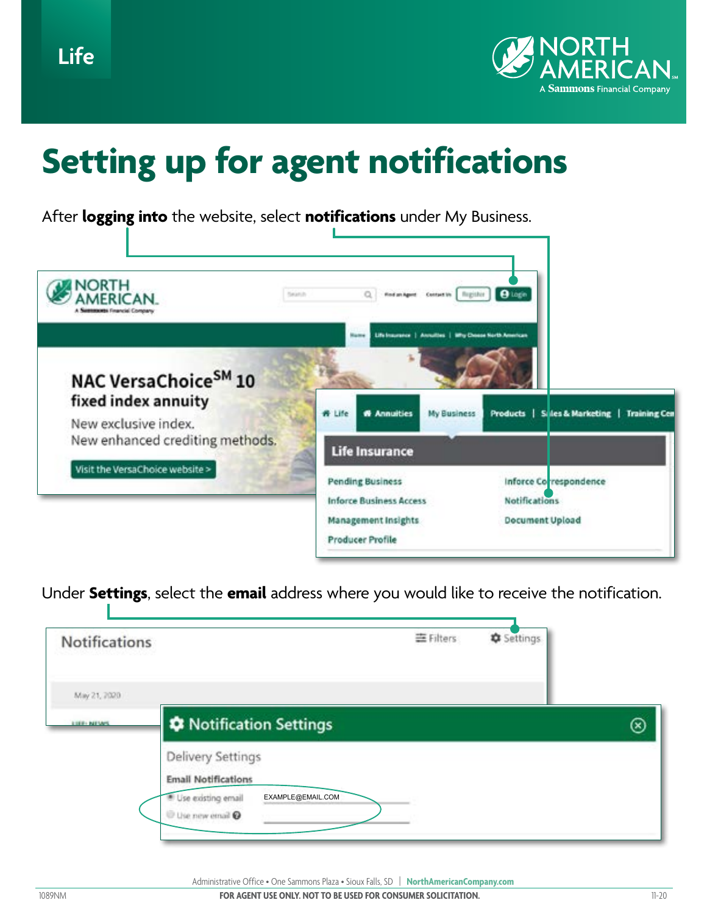

## **Setting up for agent notifications**

After **logging into** the website, select **notifications** under My Business.



Under **Settings**, select the **email** address where you would like to receive the notification.

| <b>Notifications</b> | 三Filters                                                                                                             | Settings |   |
|----------------------|----------------------------------------------------------------------------------------------------------------------|----------|---|
| May 21, 7020         |                                                                                                                      |          |   |
| LIGHT NEVAS          | <b><math>\boldsymbol{\div}</math> Notification Settings</b>                                                          |          | ⊗ |
|                      | <b>Delivery Settings</b><br><b>Email Notifications</b><br>Use existing email<br>EXAMPLE@EMAIL.COM<br>Use new email @ |          |   |

Administrative Office • One Sammons Plaza • Sioux Falls, SD | **NorthAmericanCompany.com**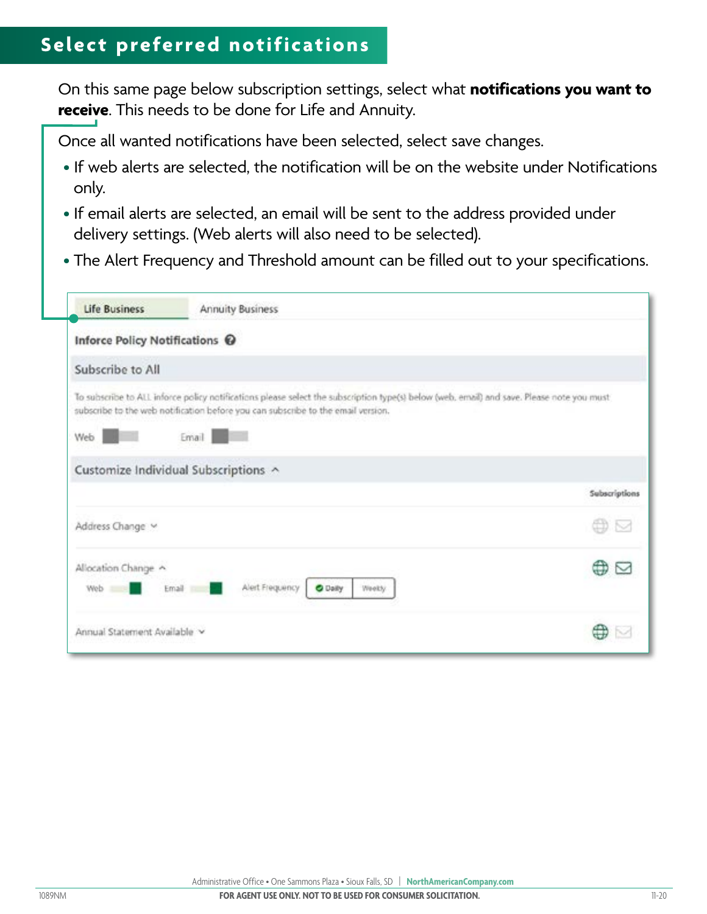## **Select preferred notifications**

On this same page below subscription settings, select what **notifications you want to receive**. This needs to be done for Life and Annuity.

Once all wanted notifications have been selected, select save changes.

- If web alerts are selected, the notification will be on the website under Notifications only.
- If email alerts are selected, an email will be sent to the address provided under delivery settings. (Web alerts will also need to be selected).
- The Alert Frequency and Threshold amount can be filled out to your specifications.

| <b>Life Business</b>           | <b>Annuity Business</b>                                                                                                                                                                                                       |               |  |  |  |
|--------------------------------|-------------------------------------------------------------------------------------------------------------------------------------------------------------------------------------------------------------------------------|---------------|--|--|--|
| Inforce Policy Notifications @ |                                                                                                                                                                                                                               |               |  |  |  |
| Subscribe to All               |                                                                                                                                                                                                                               |               |  |  |  |
|                                | To subscribe to ALL inforce policy natifications please select the subscription type(s) below (web, email) and save. Please note you must<br>subscribe to the web notification before you can subscribe to the email version. |               |  |  |  |
| Web                            | Email                                                                                                                                                                                                                         |               |  |  |  |
|                                |                                                                                                                                                                                                                               |               |  |  |  |
|                                | Customize Individual Subscriptions ^                                                                                                                                                                                          | Subscriptions |  |  |  |
|                                |                                                                                                                                                                                                                               |               |  |  |  |
| Address Change                 |                                                                                                                                                                                                                               |               |  |  |  |
| Allocation Change              |                                                                                                                                                                                                                               |               |  |  |  |
| Web =                          | Alert Frequency<br><b>O</b> Daily<br>Email<br>Weekly                                                                                                                                                                          |               |  |  |  |
| Annual Statement Available v   |                                                                                                                                                                                                                               |               |  |  |  |